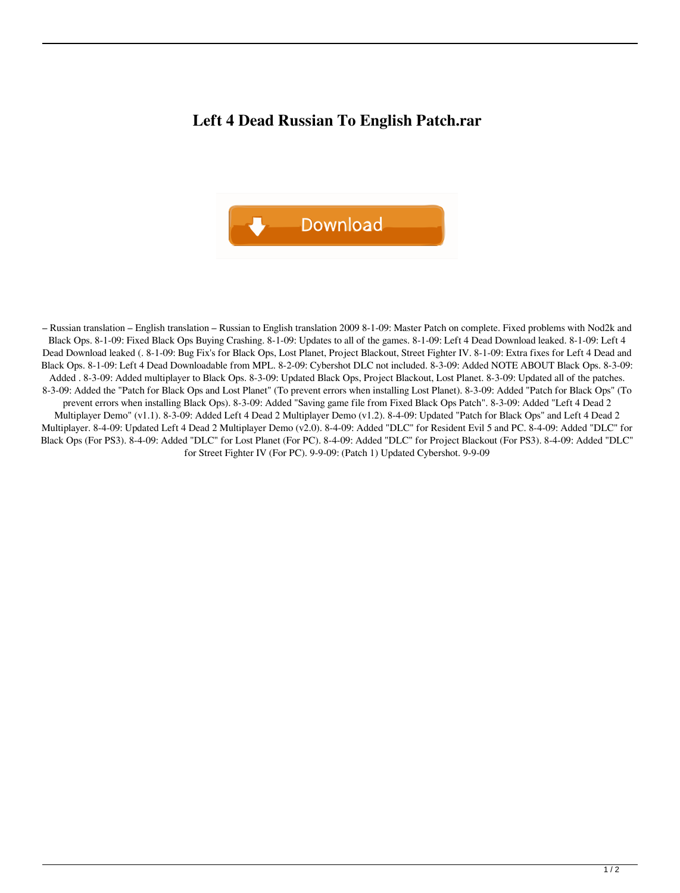## **Left 4 Dead Russian To English Patch.rar**



– Russian translation – English translation – Russian to English translation 2009 8-1-09: Master Patch on complete. Fixed problems with Nod2k and Black Ops. 8-1-09: Fixed Black Ops Buying Crashing. 8-1-09: Updates to all of the games. 8-1-09: Left 4 Dead Download leaked. 8-1-09: Left 4 Dead Download leaked (. 8-1-09: Bug Fix's for Black Ops, Lost Planet, Project Blackout, Street Fighter IV. 8-1-09: Extra fixes for Left 4 Dead and Black Ops. 8-1-09: Left 4 Dead Downloadable from MPL. 8-2-09: Cybershot DLC not included. 8-3-09: Added NOTE ABOUT Black Ops. 8-3-09: Added . 8-3-09: Added multiplayer to Black Ops. 8-3-09: Updated Black Ops, Project Blackout, Lost Planet. 8-3-09: Updated all of the patches. 8-3-09: Added the "Patch for Black Ops and Lost Planet" (To prevent errors when installing Lost Planet). 8-3-09: Added "Patch for Black Ops" (To prevent errors when installing Black Ops). 8-3-09: Added "Saving game file from Fixed Black Ops Patch". 8-3-09: Added "Left 4 Dead 2 Multiplayer Demo" (v1.1). 8-3-09: Added Left 4 Dead 2 Multiplayer Demo (v1.2). 8-4-09: Updated "Patch for Black Ops" and Left 4 Dead 2 Multiplayer. 8-4-09: Updated Left 4 Dead 2 Multiplayer Demo (v2.0). 8-4-09: Added "DLC" for Resident Evil 5 and PC. 8-4-09: Added "DLC" for Black Ops (For PS3). 8-4-09: Added "DLC" for Lost Planet (For PC). 8-4-09: Added "DLC" for Project Blackout (For PS3). 8-4-09: Added "DLC" for Street Fighter IV (For PC). 9-9-09: (Patch 1) Updated Cybershot. 9-9-09